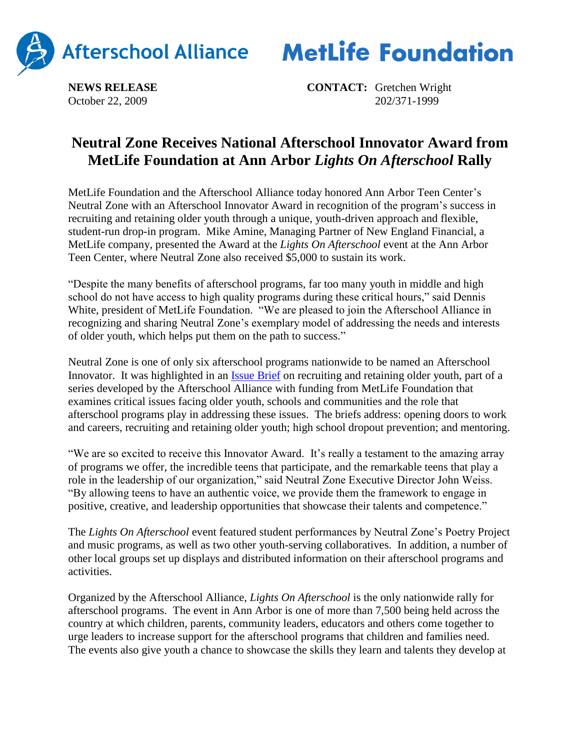



**NEWS RELEASE CONTACT:** Gretchen Wright October 22, 2009 202/371-1999

## **Neutral Zone Receives National Afterschool Innovator Award from MetLife Foundation at Ann Arbor** *Lights On Afterschool* **Rally**

MetLife Foundation and the Afterschool Alliance today honored Ann Arbor Teen Center's Neutral Zone with an Afterschool Innovator Award in recognition of the program's success in recruiting and retaining older youth through a unique, youth-driven approach and flexible, student-run drop-in program. Mike Amine, Managing Partner of New England Financial, a MetLife company, presented the Award at the *Lights On Afterschool* event at the Ann Arbor Teen Center, where Neutral Zone also received \$5,000 to sustain its work.

"Despite the many benefits of afterschool programs, far too many youth in middle and high school do not have access to high quality programs during these critical hours," said Dennis White, president of MetLife Foundation. "We are pleased to join the Afterschool Alliance in recognizing and sharing Neutral Zone's exemplary model of addressing the needs and interests of older youth, which helps put them on the path to success."

Neutral Zone is one of only six afterschool programs nationwide to be named an Afterschool Innovator. It was highlighted in an [Issue Brief](http://www.afterschoolalliance.org/issue_briefs/RecruitmentandRetention%20Brief%2037%20FINAL.pdf) on recruiting and retaining older youth, part of a series developed by the Afterschool Alliance with funding from MetLife Foundation that examines critical issues facing older youth, schools and communities and the role that afterschool programs play in addressing these issues. The briefs address: opening doors to work and careers, recruiting and retaining older youth; high school dropout prevention; and mentoring.

"We are so excited to receive this Innovator Award. It's really a testament to the amazing array of programs we offer, the incredible teens that participate, and the remarkable teens that play a role in the leadership of our organization," said Neutral Zone Executive Director John Weiss. "By allowing teens to have an authentic voice, we provide them the framework to engage in positive, creative, and leadership opportunities that showcase their talents and competence."

The *Lights On Afterschool* event featured student performances by Neutral Zone's Poetry Project and music programs, as well as two other youth-serving collaboratives. In addition, a number of other local groups set up displays and distributed information on their afterschool programs and activities.

Organized by the Afterschool Alliance, *Lights On Afterschool* is the only nationwide rally for afterschool programs. The event in Ann Arbor is one of more than 7,500 being held across the country at which children, parents, community leaders, educators and others come together to urge leaders to increase support for the afterschool programs that children and families need. The events also give youth a chance to showcase the skills they learn and talents they develop at